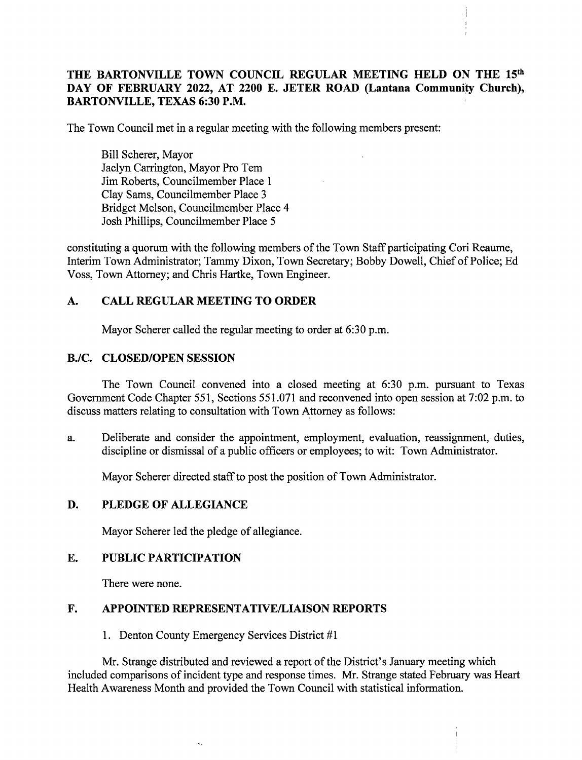# THE BARTONVILLE TOWN COUNCIL REGULAR MEETING HELD ON THE 15th DAY OF FEBRUARY 2022, AT 2200 E. JETER ROAD (Lantana Community Church), BARTONVILLE, TEXAS 6:30 P.M.

The Town Council met in a regular meeting with the following members present:

Bill Scherer, Mayor Jaclyn Carrington, Mayor Pro Tem Jim Roberts, Councilmember Place <sup>1</sup> Clay Sams, Councilmember Place <sup>3</sup> Bridget Melson, Councilmember Place 4 Josh Phillips, Councilmember Place 5

constituting <sup>a</sup> quorum with the following members of the Town Staff participating Cori Reaume, Interim Town Administrator; Tammy Dixon, Town Secretary; Bobby Dowell, Chief of Police; Ed Voss, Town Attorney; and Chris Hartke, Town Engineer.

# A. CALL REGULAR MEETING TO ORDER

Mayor Scherer called the regular meeting to order at 6:30 p.m.

## B./C. CLOSED/OPEN SESSION

The Town Council convened into a closed meeting at 6:30 p.m. pursuant to Texas Government Code Chapter 551, Sections 551.071 and reconvened into open session at 7:02 p.m. to discuss matters relating to consultation with Town Attorney as follows:

a. Deliberate and consider the appointment, employment, evaluation, reassignment, duties, discipline or dismissal of a public officers or employees; to wit: Town Administrator.

Mayor Scherer directed staff to post the position of Town Administrator.

## D. PLEDGE OF ALLEGIANCE

Mayor Scherer led the pledge of allegiance.

## E. PUBLIC PARTICIPATION

There were none.

## F. APPOINTED REPRESENTATIVE/LIAISON REPORTS

1. Denton County Emergency Services District #1

Mr. Strange distributed and reviewed a report of the District's January meeting which included comparisons of incident type and response times. Mr. Strange stated February was Heart Health Awareness Month and provided the Town Council with statistical information.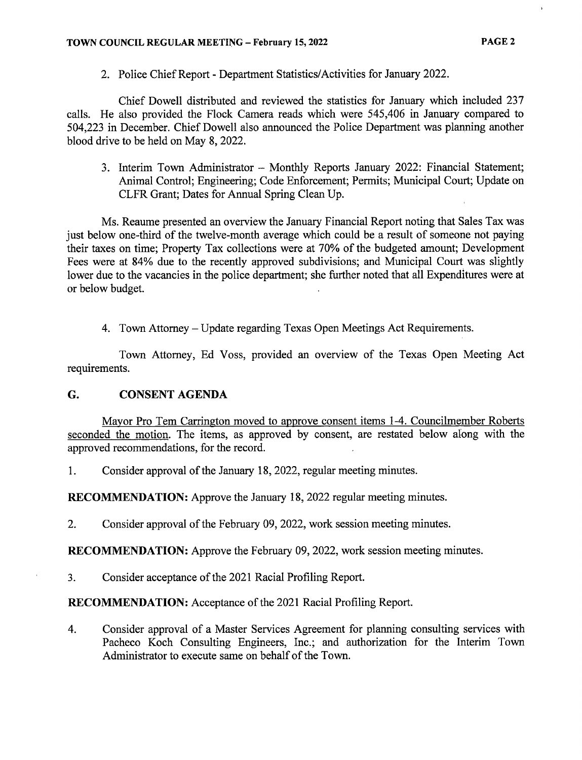2. Police Chief Report- Department Statistics/Activities for January 2022.

Chief Dowell distributed and reviewed the statistics for January which included 237 calls. He also provided the Flock Camera reads which were 545, 406 in January compared to 504,223 in December. Chief Dowell also announced the Police Department was planning another blood drive to be held on May 8, 2022.

3. Interim Town Administrator — Monthly Reports January 2022: Financial Statement; Animal Control; Engineering; Code Enforcement; Permits; Municipal Court; Update on CLFR Grant; Dates for Annual Spring Clean Up.

Ms. Reaume presented an overview the January Financial Report noting that Sales Tax was just below one-third of the twelve-month average which could be a result of someone not paying their taxes on time; Property Tax collections were at 70% of the budgeted amount; Development Fees were at 84% due to the recently approved subdivisions; and Municipal Court was slightly lower due to the vacancies in the police department; she further noted that all Expenditures were at or below budget.

4. Town Attorney— Update regarding Texas Open Meetings Act Requirements.

Town Attorney, Ed Voss, provided an overview of the Texas Open Meeting Act requirements.

## G. CONSENT AGENDA

Mayor Pro Tem Carrington moved to approve consent items 1-4. Councilmember Roberts seconded the motion. The items, as approved by consent, are restated below along with the approved recommendations, for the record.

1. Consider approval of the January 18, 2022, regular meeting minutes.

RECOMMENDATION: Approve the January 18, 2022 regular meeting minutes.

2. Consider approval of the February 09, 2022, work session meeting minutes.

RECOMMENDATION: Approve the February 09, 2022, work session meeting minutes.

3. Consider acceptance of the 2021 Racial Profiling Report.

RECOMMENDATION: Acceptance of the 2021 Racial Profiling Report.

4. Consider approval of a Master Services Agreement for planning consulting services with Pacheco Koch Consulting Engineers, Inc.; and authorization for the Interim Town Administrator to execute same on behalf of the Town.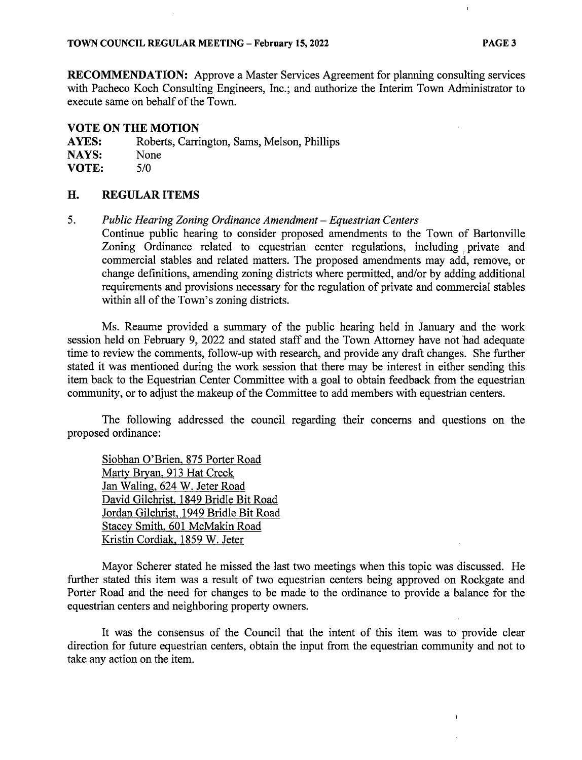RECOMMENDATION: Approve <sup>a</sup> Master Services Agreement for planning consulting services with Pacheco Koch Consulting Engineers, Inc.; and authorize the Interim Town Administrator to execute same on behalf of the Town.

### VOTE ON THE MOTION

AYES: Roberts, Carrington, Sams, Melson, Phillips NAYS: None

VOTE:  $5/0$ 

### H. REGULAR ITEMS

5. Public Hearing Zoning Ordinance Amendment— Equestrian Centers

Continue public hearing to consider proposed amendments to the Town of Bartonville Zoning Ordinance related to equestrian center regulations, including private and commercial stables and related matters. The proposed amendments may add, remove, or change definitions, amending zoning districts where permitted, and/or by adding additional requirements and provisions necessary for the regulation of private and commercial stables within all of the Town's zoning districts.

Ms. Reaume provided a summary of the public hearing held in January and the work session held on February 9, 2022 and stated staff and the Town Attorney have not had adequate time to review the comments, follow-up with research, and provide any draft changes. She further stated it was mentioned during the work session that there may be interest in either sending this item back to the Equestrian Center Committee with a goal to obtain feedback from the equestrian community, or to adjust the makeup of the Committee to add members with equestrian centers.

The following addressed the council regarding their concerns and questions on the proposed ordinance:

Siobhan O'Brien, 875 Porter Road Marty Bryan, 913 Hat Creek Jan Waling, 624 W. Jeter Road David Gilchrist, 1849 Bridle Bit Road Jordan Gilchrist, 1949 Bridle Bit Road Stacey Smith, 601 McMakin Road Kristin Cordiak, 1859 W. Jeter

Mayor Scherer stated he missed the last two meetings when this topic was discussed. He further stated this item was a result of two equestrian centers being approved on Rockgate and Porter Road and the need for changes to be made to the ordinance to provide a balance for the equestrian centers and neighboring property owners.

It was the consensus of the Council that the intent of this item was to provide clear direction for future equestrian centers, obtain the input from the equestrian community and not to take any action on the item.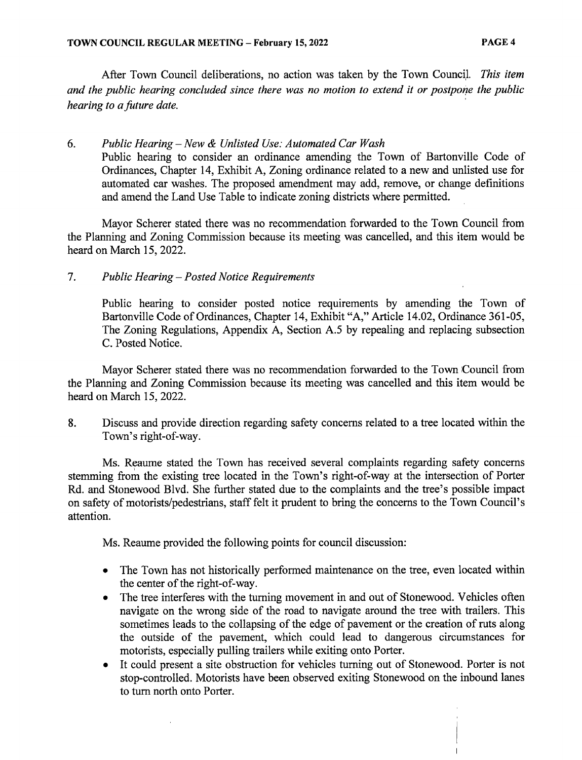After Town Council deliberations, no action was taken by the Town Council. This item and the public hearing concluded since there was no motion to extend it or postpone the public hearing to a future date.

# 6. Public Hearing—New & Unlisted Use: Automated Car Wash

Public hearing to consider an ordinance amending the Town of Bartonville Code of Ordinances, Chapter 14, Exhibit A, Zoning ordinance related to a new and unlisted use for automated car washes. The proposed amendment may add, remove, or change definitions and amend the Land Use Table to indicate zoning districts where permitted.

Mayor Scherer stated there was no recommendation forwarded to the Town Council from the Planning and Zoning Commission because its meeting was cancelled, and this item would be heard on March 15, 2022.

# 7. Public Hearing—Posted Notice Requirements

 $\ddot{\phantom{a}}$ 

Public hearing to consider posted notice requirements by amending the Town of Bartonville Code of Ordinances, Chapter 14, Exhibit "A," Article 14.02, Ordinance 361-05, The Zoning Regulations, Appendix A, Section A.5 by repealing and replacing subsection C. Posted Notice.

Mayor Scherer stated there was no recommendation forwarded to the Town Council from the Planning and Zoning Commission because its meeting was cancelled and this item would be heard on March 15, 2022.

8. Discuss and provide direction regarding safety concerns related to a tree located within the Town's right-of-way.

Ms. Reaume stated the Town has received several complaints regarding safety concerns stemming from the existing tree located in the Town's right-of-way at the intersection of Porter Rd. and Stonewood Blvd. She further stated due to the complaints and the tree's possible impact on safety of motorists/pedestrians, staff felt it prudent to bring the concerns to the Town Council's attention.

Ms. Reaume provided the following points for council discussion:

- The Town has not historically performed maintenance on the tree, even located within the center of the right-of-way.
- The tree interferes with the turning movement in and out of Stonewood. Vehicles often  $\bullet$ navigate on the wrong side of the road to navigate around the tree with trailers. This sometimes leads to the collapsing of the edge of pavement or the creation of ruts along the outside of the pavement, which could lead to dangerous circumstances for motorists, especially pulling trailers while exiting onto Porter.
- It could present <sup>a</sup> site obstruction for vehicles turning out of Stonewood. Porter is not stop- controlled. Motorists have been observed exiting Stonewood on the inbound lanes to turn north onto Porter.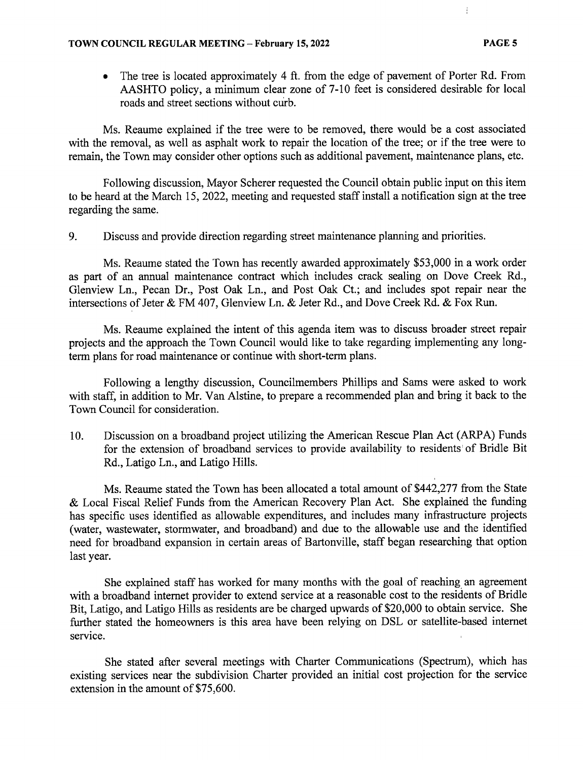• The tree is located approximately 4 ft. from the edge of pavement of Porter Rd. From AASHTO policy, a minimum clear zone of 7- 10 feet is considered desirable for local roads and street sections without curb.

Ms. Reaume explained if the tree were to be removed, there would be <sup>a</sup> cost associated with the removal, as well as asphalt work to repair the location of the tree; or if the tree were to remain, the Town may consider other options such as additional pavement, maintenance plans, etc.

Following discussion, Mayor Scherer requested the Council obtain public input on this item to be heard at the March 15, 2022, meeting and requested staff install a notification sign at the tree regarding the same.

9. Discuss and provide direction regarding street maintenance planning and priorities.

Ms. Reaume stated the Town has recently awarded approximately \$53,000 in a work order as part of an annual maintenance contract which includes crack sealing on Dove Creek Rd., Glenview Ln., Pecan Dr., Post Oak Ln., and Post Oak Ct.; and includes spot repair near the intersections of Jeter & FM 407, Glenview Ln. & Jeter Rd., and Dove Creek Rd. & Fox Run.

Ms. Reaume explained the intent of this agenda item was to discuss broader street repair projects and the approach the Town Council would like to take regarding implementing any longterm plans for road maintenance or continue with short- term plans.

Following a lengthy discussion, Councilmembers Phillips and Sams were asked to work with staff, in addition to Mr. Van Alstine, to prepare <sup>a</sup> recommended plan and bring it back to the Town Council for consideration.

10. Discussion on a broadband project utilizing the American Rescue Plan Act ( ARPA) Funds for the extension of broadband services to provide availability to residents of Bridle Bit Rd., Latigo Ln., and Latigo Hills.

Ms. Reaume stated the Town has been allocated a total amount of \$442,277 from the State Local Fiscal Relief Funds from the American Recovery Plan Act. She explained the funding has specific uses identified as allowable expenditures, and includes many infrastructure projects water, wastewater, stormwater, and broadband) and due to the allowable use and the identified need for broadband expansion in certain areas of Bartonville, staff began researching that option last year.

She explained staff has worked for many months with the goal of reaching an agreement with a broadband internet provider to extend service at a reasonable cost to the residents of Bridle Bit, Latigo, and Latigo Hills as residents are be charged upwards of \$20,000 to obtain service. She further stated the homeowners is this area have been relying on DSL or satellite-based internet service.

She stated after several meetings with Charter Communications ( Spectrum), which has existing services near the subdivision Charter provided an initial cost projection for the service extension in the amount of \$75,600.

 $\frac{1}{2}$